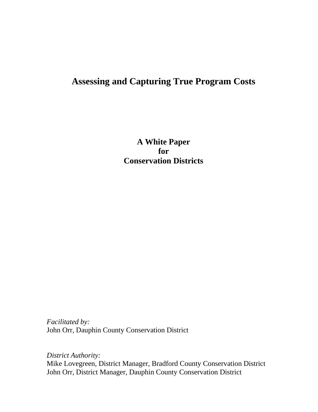# **Assessing and Capturing True Program Costs**

**A White Paper for Conservation Districts**

*Facilitated by:* John Orr, Dauphin County Conservation District

*District Authority:* Mike Lovegreen, District Manager, Bradford County Conservation District John Orr, District Manager, Dauphin County Conservation District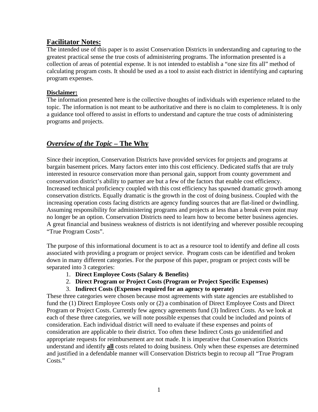### **Facilitator Notes:**

The intended use of this paper is to assist Conservation Districts in understanding and capturing to the greatest practical sense the true costs of administering programs. The information presented is a collection of areas of potential expense. It is not intended to establish a "one size fits all" method of calculating program costs. It should be used as a tool to assist each district in identifying and capturing program expenses.

#### **Disclaimer:**

The information presented here is the collective thoughts of individuals with experience related to the topic. The information is not meant to be authoritative and there is no claim to completeness. It is only a guidance tool offered to assist in efforts to understand and capture the true costs of administering programs and projects.

## *Overview of the Topic –* **The Why**

Since their inception, Conservation Districts have provided services for projects and programs at bargain basement prices. Many factors enter into this cost efficiency. Dedicated staffs that are truly interested in resource conservation more than personal gain, support from county government and conservation district's ability to partner are but a few of the factors that enable cost efficiency. Increased technical proficiency coupled with this cost efficiency has spawned dramatic growth among conservation districts. Equally dramatic is the growth in the cost of doing business. Coupled with the increasing operation costs facing districts are agency funding sources that are flat-lined or dwindling. Assuming responsibility for administering programs and projects at less than a break even point may no longer be an option. Conservation Districts need to learn how to become better business agencies. A great financial and business weakness of districts is not identifying and wherever possible recouping "True Program Costs".

The purpose of this informational document is to act as a resource tool to identify and define all costs associated with providing a program or project service. Program costs can be identified and broken down in many different categories. For the purpose of this paper, program or project costs will be separated into 3 categories:

- 1. **Direct Employee Costs (Salary & Benefits)**
- 2. **Direct Program or Project Costs (Program or Project Specific Expenses)**
- 3. **Indirect Costs (Expenses required for an agency to operate)**

These three categories were chosen because most agreements with state agencies are established to fund the (1) Direct Employee Costs only or (2) a combination of Direct Employee Costs and Direct Program or Project Costs. Currently few agency agreements fund (3) Indirect Costs. As we look at each of these three categories, we will note possible expenses that could be included and points of consideration. Each individual district will need to evaluate if these expenses and points of consideration are applicable to their district. Too often these Indirect Costs go unidentified and appropriate requests for reimbursement are not made. It is imperative that Conservation Districts understand and identify **all** costs related to doing business. Only when these expenses are determined and justified in a defendable manner will Conservation Districts begin to recoup all "True Program Costs."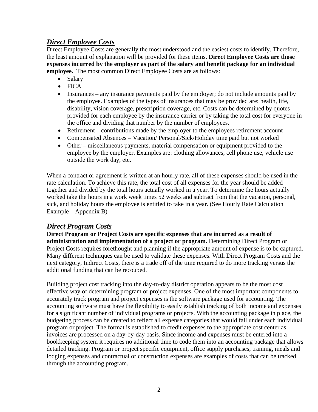## *Direct Employee Costs*

Direct Employee Costs are generally the most understood and the easiest costs to identify. Therefore, the least amount of explanation will be provided for these items. **Direct Employee Costs are those expenses incurred by the employer as part of the salary and benefit package for an individual employee.** The most common Direct Employee Costs are as follows:

- Salary
- FICA
- Insurances any insurance payments paid by the employer; do not include amounts paid by the employee. Examples of the types of insurances that may be provided are: health, life, disability, vision coverage, prescription coverage, etc. Costs can be determined by quotes provided for each employee by the insurance carrier or by taking the total cost for everyone in the office and dividing that number by the number of employees.
- Retirement contributions made by the employer to the employees retirement account
- Compensated Absences Vacation/ Personal/Sick/Holiday time paid but not worked
- Other miscellaneous payments, material compensation or equipment provided to the employee by the employer. Examples are: clothing allowances, cell phone use, vehicle use outside the work day, etc.

When a contract or agreement is written at an hourly rate, all of these expenses should be used in the rate calculation. To achieve this rate, the total cost of all expenses for the year should be added together and divided by the total hours actually worked in a year. To determine the hours actually worked take the hours in a work week times 52 weeks and subtract from that the vacation, personal, sick, and holiday hours the employee is entitled to take in a year. (See Hourly Rate Calculation Example – Appendix B)

### *Direct Program Costs*

**Direct Program or Project Costs are specific expenses that are incurred as a result of administration and implementation of a project or program.** Determining Direct Program or Project Costs requires forethought and planning if the appropriate amount of expense is to be captured. Many different techniques can be used to validate these expenses. With Direct Program Costs and the next category, Indirect Costs, there is a trade off of the time required to do more tracking versus the additional funding that can be recouped.

Building project cost tracking into the day-to-day district operation appears to be the most cost effective way of determining program or project expenses. One of the most important components to accurately track program and project expenses is the software package used for accounting. The accounting software must have the flexibility to easily establish tracking of both income and expenses for a significant number of individual programs or projects. With the accounting package in place, the budgeting process can be created to reflect all expense categories that would fall under each individual program or project. The format is established to credit expenses to the appropriate cost center as invoices are processed on a day-by-day basis. Since income and expenses must be entered into a bookkeeping system it requires no additional time to code them into an accounting package that allows detailed tracking. Program or project specific equipment, office supply purchases, training, meals and lodging expenses and contractual or construction expenses are examples of costs that can be tracked through the accounting program.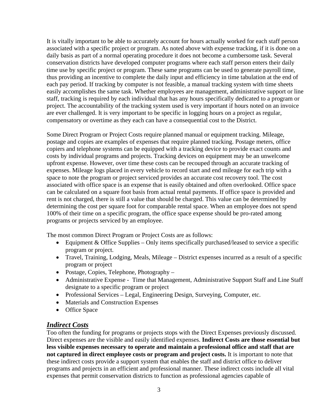It is vitally important to be able to accurately account for hours actually worked for each staff person associated with a specific project or program. As noted above with expense tracking, if it is done on a daily basis as part of a normal operating procedure it does not become a cumbersome task. Several conservation districts have developed computer programs where each staff person enters their daily time use by specific project or program. These same programs can be used to generate payroll time, thus providing an incentive to complete the daily input and efficiency in time tabulation at the end of each pay period. If tracking by computer is not feasible, a manual tracking system with time sheets easily accomplishes the same task. Whether employees are management, administrative support or line staff, tracking is required by each individual that has any hours specifically dedicated to a program or project. The accountability of the tracking system used is very important if hours noted on an invoice are ever challenged. It is very important to be specific in logging hours on a project as regular, compensatory or overtime as they each can have a consequential cost to the District.

Some Direct Program or Project Costs require planned manual or equipment tracking. Mileage, postage and copies are examples of expenses that require planned tracking. Postage meters, office copiers and telephone systems can be equipped with a tracking device to provide exact counts and costs by individual programs and projects. Tracking devices on equipment may be an unwelcome upfront expense. However, over time these costs can be recouped through an accurate tracking of expenses. Mileage logs placed in every vehicle to record start and end mileage for each trip with a space to note the program or project serviced provides an accurate cost recovery tool. The cost associated with office space is an expense that is easily obtained and often overlooked. Office space can be calculated on a square foot basis from actual rental payments. If office space is provided and rent is not charged, there is still a value that should be charged. This value can be determined by determining the cost per square foot for comparable rental space. When an employee does not spend 100% of their time on a specific program, the office space expense should be pro-rated among programs or projects serviced by an employee.

The most common Direct Program or Project Costs are as follows:

- Equipment & Office Supplies Only items specifically purchased/leased to service a specific program or project.
- Travel, Training, Lodging, Meals, Mileage District expenses incurred as a result of a specific program or project
- Postage, Copies, Telephone, Photography –
- Administrative Expense Time that Management, Administrative Support Staff and Line Staff designate to a specific program or project
- Professional Services Legal, Engineering Design, Surveying, Computer, etc.
- Materials and Construction Expenses
- Office Space

#### *Indirect Costs*

Too often the funding for programs or projects stops with the Direct Expenses previously discussed. Direct expenses are the visible and easily identified expenses. **Indirect Costs are those essential but less visible expenses necessary to operate and maintain a professional office and staff that are not captured in direct employee costs or program and project costs.** It is important to note that these indirect costs provide a support system that enables the staff and district office to deliver programs and projects in an efficient and professional manner. These indirect costs include all vital expenses that permit conservation districts to function as professional agencies capable of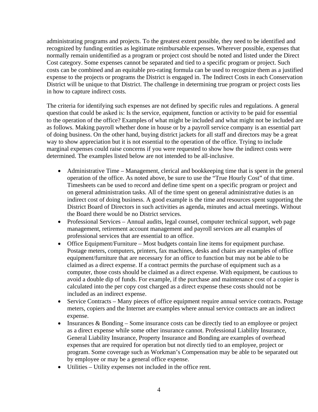administrating programs and projects. To the greatest extent possible, they need to be identified and recognized by funding entities as legitimate reimbursable expenses. Wherever possible, expenses that normally remain unidentified as a program or project cost should be noted and listed under the Direct Cost category. Some expenses cannot be separated and tied to a specific program or project. Such costs can be combined and an equitable pro-rating formula can be used to recognize them as a justified expense to the projects or programs the District is engaged in. The Indirect Costs in each Conservation District will be unique to that District. The challenge in determining true program or project costs lies in how to capture indirect costs.

The criteria for identifying such expenses are not defined by specific rules and regulations. A general question that could be asked is: Is the service, equipment, function or activity to be paid for essential to the operation of the office? Examples of what might be included and what might not be included are as follows. Making payroll whether done in house or by a payroll service company is an essential part of doing business. On the other hand, buying district jackets for all staff and directors may be a great way to show appreciation but it is not essential to the operation of the office. Trying to include marginal expenses could raise concerns if you were requested to show how the indirect costs were determined. The examples listed below are not intended to be all-inclusive.

- Administrative Time Management, clerical and bookkeeping time that is spent in the general operation of the office. As noted above, be sure to use the "True Hourly Cost" of that time. Timesheets can be used to record and define time spent on a specific program or project and on general administration tasks. All of the time spent on general administrative duties is an indirect cost of doing business. A good example is the time and resources spent supporting the District Board of Directors in such activities as agenda, minutes and actual meetings. Without the Board there would be no District services.
- Professional Services Annual audits, legal counsel, computer technical support, web page management, retirement account management and payroll services are all examples of professional services that are essential to an office.
- Office Equipment/Furniture Most budgets contain line items for equipment purchase. Postage meters, computers, printers, fax machines, desks and chairs are examples of office equipment/furniture that are necessary for an office to function but may not be able to be claimed as a direct expense. If a contract permits the purchase of equipment such as a computer, those costs should be claimed as a direct expense. With equipment, be cautious to avoid a double dip of funds. For example, if the purchase and maintenance cost of a copier is calculated into the per copy cost charged as a direct expense these costs should not be included as an indirect expense.
- Service Contracts Many pieces of office equipment require annual service contracts. Postage meters, copiers and the Internet are examples where annual service contracts are an indirect expense.
- Insurances & Bonding Some insurance costs can be directly tied to an employee or project as a direct expense while some other insurance cannot. Professional Liability Insurance, General Liability Insurance, Property Insurance and Bonding are examples of overhead expenses that are required for operation but not directly tied to an employee, project or program. Some coverage such as Workman's Compensation may be able to be separated out by employee or may be a general office expense.
- Utilities Utility expenses not included in the office rent.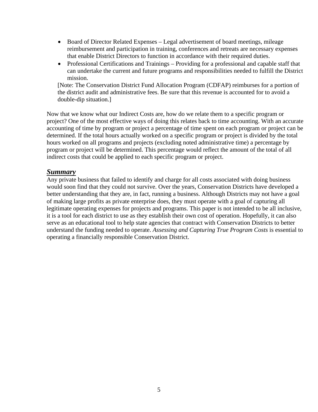- Board of Director Related Expenses Legal advertisement of board meetings, mileage reimbursement and participation in training, conferences and retreats are necessary expenses that enable District Directors to function in accordance with their required duties.
- Professional Certifications and Trainings Providing for a professional and capable staff that can undertake the current and future programs and responsibilities needed to fulfill the District mission.

[Note: The Conservation District Fund Allocation Program (CDFAP) reimburses for a portion of the district audit and administrative fees. Be sure that this revenue is accounted for to avoid a double-dip situation.]

Now that we know what our Indirect Costs are, how do we relate them to a specific program or project? One of the most effective ways of doing this relates back to time accounting. With an accurate accounting of time by program or project a percentage of time spent on each program or project can be determined. If the total hours actually worked on a specific program or project is divided by the total hours worked on all programs and projects (excluding noted administrative time) a percentage by program or project will be determined. This percentage would reflect the amount of the total of all indirect costs that could be applied to each specific program or project.

#### *Summary*

Any private business that failed to identify and charge for all costs associated with doing business would soon find that they could not survive. Over the years, Conservation Districts have developed a better understanding that they are, in fact, running a business. Although Districts may not have a goal of making large profits as private enterprise does, they must operate with a goal of capturing all legitimate operating expenses for projects and programs. This paper is not intended to be all inclusive, it is a tool for each district to use as they establish their own cost of operation. Hopefully, it can also serve as an educational tool to help state agencies that contract with Conservation Districts to better understand the funding needed to operate. *Assessing and Capturing True Program Costs* is essential to operating a financially responsible Conservation District.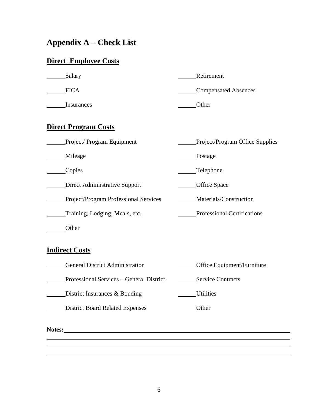# **Appendix A – Check List**

# **Direct Employee Costs**

| Salary                                   | Retirement                         |  |  |  |
|------------------------------------------|------------------------------------|--|--|--|
| <b>FICA</b>                              | <b>Compensated Absences</b>        |  |  |  |
| Insurances                               | Other                              |  |  |  |
| <b>Direct Program Costs</b>              |                                    |  |  |  |
| Project/Program Equipment                | Project/Program Office Supplies    |  |  |  |
| Mileage                                  | Postage                            |  |  |  |
| Copies                                   | Telephone                          |  |  |  |
| <b>Direct Administrative Support</b>     | <b>Office Space</b>                |  |  |  |
| Project/Program Professional Services    | Materials/Construction             |  |  |  |
| Training, Lodging, Meals, etc.           | <b>Professional Certifications</b> |  |  |  |
| Other                                    |                                    |  |  |  |
| <b>Indirect Costs</b>                    |                                    |  |  |  |
| <b>General District Administration</b>   | Office Equipment/Furniture         |  |  |  |
| Professional Services - General District | <b>Service Contracts</b>           |  |  |  |
| District Insurances & Bonding            | Utilities                          |  |  |  |
| <b>District Board Related Expenses</b>   | Other                              |  |  |  |

**Notes:**